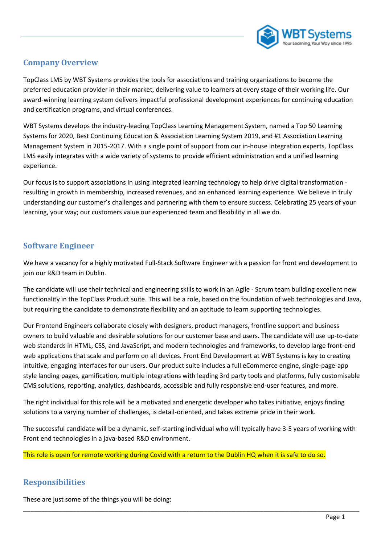

#### **Company Overview**

TopClass LMS by WBT Systems provides the tools for associations and training organizations to become the preferred education provider in their market, delivering value to learners at every stage of their working life. Our award-winning learning system delivers impactful professional development experiences for continuing education and certification programs, and virtual conferences.

WBT Systems develops the industry-leading TopClass Learning Management System, named a Top 50 Learning Systems for 2020, Best Continuing Education & Association Learning System 2019, and #1 Association Learning Management System in 2015-2017. With a single point of support from our in-house integration experts, TopClass LMS easily integrates with a wide variety of systems to provide efficient administration and a unified learning experience.

Our focus is to support associations in using integrated learning technology to help drive digital transformation resulting in growth in membership, increased revenues, and an enhanced learning experience. We believe in truly understanding our customer's challenges and partnering with them to ensure success. Celebrating 25 years of your learning, your way; our customers value our experienced team and flexibility in all we do.

### **Software Engineer**

We have a vacancy for a highly motivated Full-Stack Software Engineer with a passion for front end development to join our R&D team in Dublin.

The candidate will use their technical and engineering skills to work in an Agile - Scrum team building excellent new functionality in the TopClass Product suite. This will be a role, based on the foundation of web technologies and Java, but requiring the candidate to demonstrate flexibility and an aptitude to learn supporting technologies.

Our Frontend Engineers collaborate closely with designers, product managers, frontline support and business owners to build valuable and desirable solutions for our customer base and users. The candidate will use up-to-date web standards in HTML, CSS, and JavaScript, and modern technologies and frameworks, to develop large front-end web applications that scale and perform on all devices. Front End Development at WBT Systems is key to creating intuitive, engaging interfaces for our users. Our product suite includes a full eCommerce engine, single-page-app style landing pages, gamification, multiple integrations with leading 3rd party tools and platforms, fully customisable CMS solutions, reporting, analytics, dashboards, accessible and fully responsive end-user features, and more.

The right individual for this role will be a motivated and energetic developer who takes initiative, enjoys finding solutions to a varying number of challenges, is detail-oriented, and takes extreme pride in their work.

The successful candidate will be a dynamic, self-starting individual who will typically have 3-5 years of working with Front end technologies in a java-based R&D environment.

\_\_\_\_\_\_\_\_\_\_\_\_\_\_\_\_\_\_\_\_\_\_\_\_\_\_\_\_\_\_\_\_\_\_\_\_\_\_\_\_\_\_\_\_\_\_\_\_\_\_\_\_\_\_\_\_\_\_\_\_\_\_\_\_\_\_\_\_\_\_\_\_\_\_\_\_\_\_\_\_\_\_\_\_\_\_\_\_\_\_\_\_\_\_\_

This role is open for remote working during Covid with a return to the Dublin HQ when it is safe to do so.

## **Responsibilities**

These are just some of the things you will be doing: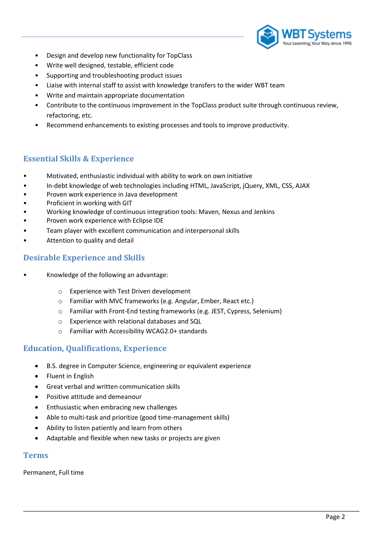

- Design and develop new functionality for TopClass
- Write well designed, testable, efficient code
- Supporting and troubleshooting product issues
- Liaise with internal staff to assist with knowledge transfers to the wider WBT team
- Write and maintain appropriate documentation
- Contribute to the continuous improvement in the TopClass product suite through continuous review, refactoring, etc.
- Recommend enhancements to existing processes and tools to improve productivity.

## **Essential Skills & Experience**

- Motivated, enthusiastic individual with ability to work on own initiative
- In-debt knowledge of web technologies including HTML, JavaScript, jQuery, XML, CSS, AJAX
- Proven work experience in Java development
- Proficient in working with GIT
- Working knowledge of continuous integration tools: Maven, Nexus and Jenkins
- Proven work experience with Eclipse IDE
- Team player with excellent communication and interpersonal skills
- Attention to quality and detail

#### **Desirable Experience and Skills**

- Knowledge of the following an advantage:
	- o Experience with Test Driven development
	- o Familiar with MVC frameworks (e.g. Angular, Ember, React etc.)
	- o Familiar with Front-End testing frameworks (e.g. JEST, Cypress, Selenium)

\_\_\_\_\_\_\_\_\_\_\_\_\_\_\_\_\_\_\_\_\_\_\_\_\_\_\_\_\_\_\_\_\_\_\_\_\_\_\_\_\_\_\_\_\_\_\_\_\_\_\_\_\_\_\_\_\_\_\_\_\_\_\_\_\_\_\_\_\_\_\_\_\_\_\_\_\_\_\_\_\_\_\_\_\_\_\_\_\_\_\_\_\_\_\_

- o Experience with relational databases and SQL
- o Familiar with Accessibility WCAG2.0+ standards

#### **Education, Qualifications, Experience**

- B.S. degree in Computer Science, engineering or equivalent experience
- Fluent in English
- Great verbal and written communication skills
- Positive attitude and demeanour
- Enthusiastic when embracing new challenges
- Able to multi-task and prioritize (good time-management skills)
- Ability to listen patiently and learn from others
- Adaptable and flexible when new tasks or projects are given

#### **Terms**

Permanent, Full time